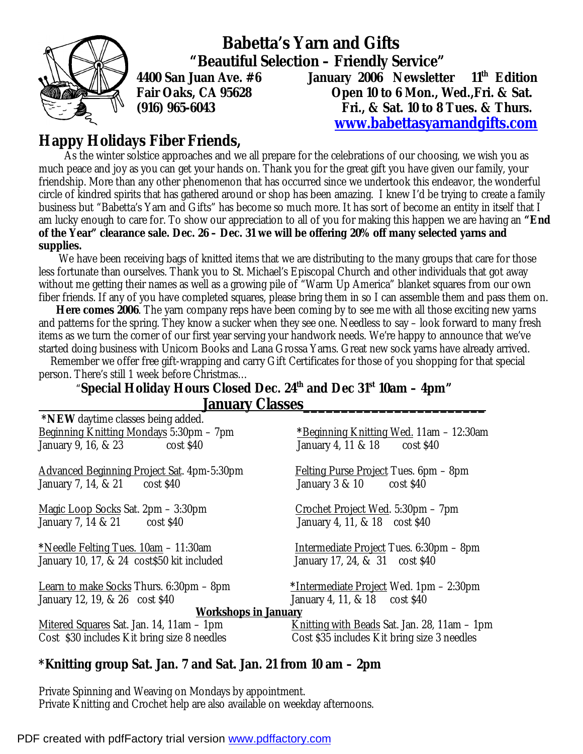

 **Babetta's Yarn and Gifts "Beautiful Selection – Friendly Service" 4400 San Juan Ave. #6 January 2006 Newsletter 11th Edition Fair Oaks, CA 95628 Open 10 to 6 Mon., Wed.,Fri. & Sat. (916) 965-6043 Fri., & Sat. 10 to 8 Tues. & Thurs. [www.babettasyarnandgifts.com](http://www.babettasyarnandgifts.com)**

**Happy Holidays Fiber Friends,** 

As the winter solstice approaches and we all prepare for the celebrations of our choosing, we wish you as much peace and joy as you can get your hands on. Thank you for the great gift you have given our family, your friendship. More than any other phenomenon that has occurred since we undertook this endeavor, the wonderful circle of kindred spirits that has gathered around or shop has been amazing. I knew I'd be trying to create a family business but "Babetta's Yarn and Gifts" has become so much more. It has sort of become an entity in itself that I am lucky enough to care for. To show our appreciation to all of you for making this happen we are having an **"End**  of the Year" clearance sale. Dec. 26 - Dec. 31 we will be offering 20% off many selected yarns and **supplies.** 

We have been receiving bags of knitted items that we are distributing to the many groups that care for those less fortunate than ourselves. Thank you to St. Michael's Episcopal Church and other individuals that got away without me getting their names as well as a growing pile of "Warm Up America" blanket squares from our own fiber friends. If any of you have completed squares, please bring them in so I can assemble them and pass them on.

 **Here comes 2006**. The yarn company reps have been coming by to see me with all those exciting new yarns and patterns for the spring. They know a sucker when they see one. Needless to say – look forward to many fresh items as we turn the corner of our first year serving your handwork needs. We're happy to announce that we've started doing business with Unicorn Books and Lana Grossa Yarns. Great new sock yarns have already arrived.

 Remember we offer free gift-wrapping and carry Gift Certificates for those of you shopping for that special person. There's still 1 week before Christmas…

#### "**Special Holiday Hours Closed Dec. 24th and Dec 31st 10am – 4pm" January Classes\_\_\_\_\_\_\_\_\_\_\_\_\_\_\_\_\_\_\_\_\_\_\_\_**

| *NEW daytime classes being added.                 |                                                     |
|---------------------------------------------------|-----------------------------------------------------|
| Beginning Knitting Mondays 5:30pm - 7pm           | <u>*Beginning Knitting Wed.</u> 11am – 12:30am      |
| January 9, 16, & 23 cost \$40                     | January 4, 11 & 18 cost \$40                        |
| <b>Advanced Beginning Project Sat. 4pm-5:30pm</b> | <b>Felting Purse Project Tues. 6pm – 8pm</b>        |
| January 7, 14, & 21 cost \$40                     | January 3 & 10 cost \$40                            |
| <u> Magic Loop Socks</u> Sat. 2pm – 3:30pm        | <u>Crochet Project Wed.</u> 5:30pm – 7pm            |
| January 7, 14 & 21 cost \$40                      | January 4, 11, & 18 cost \$40                       |
| <u>*Needle Felting Tues. 10am</u> – 11:30am       | <u>Intermediate Project</u> Tues. 6:30pm - 8pm      |
| January 10, 17, & 24 cost \$50 kit included       | January 17, 24, & 31 cost \$40                      |
| Learn to make Socks Thurs. 6:30pm – 8pm           | <u>*Intermediate Project</u> Wed. 1pm – 2:30pm      |
| January 12, 19, & 26 cost \$40                    | January 4, 11, & 18 cost \$40                       |
| <b>Workshops in January</b>                       |                                                     |
| <u>Mitered Squares</u> Sat. Jan. 14, 11am - 1pm   | <u>Knitting with Beads</u> Sat. Jan. 28, 11am – 1pm |
| Cost \$30 includes Kit bring size 8 needles       | Cost \$35 includes Kit bring size 3 needles         |

#### **\*Knitting group Sat. Jan. 7 and Sat. Jan. 21 from 10 am – 2pm**

Private Spinning and Weaving on Mondays by appointment. Private Knitting and Crochet help are also available on weekday afternoons.